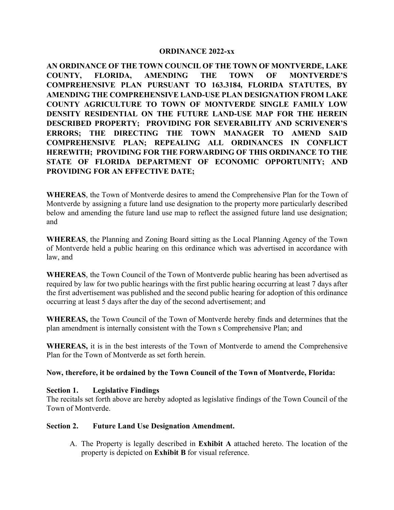#### **ORDINANCE 2022-xx**

**AN ORDINANCE OF THE TOWN COUNCIL OF THE TOWN OF MONTVERDE, LAKE COUNTY, FLORIDA, AMENDING THE TOWN OF MONTVERDE'S COMPREHENSIVE PLAN PURSUANT TO 163.3184, FLORIDA STATUTES, BY AMENDING THE COMPREHENSIVE LAND-USE PLAN DESIGNATION FROM LAKE COUNTY AGRICULTURE TO TOWN OF MONTVERDE SINGLE FAMILY LOW DENSITY RESIDENTIAL ON THE FUTURE LAND-USE MAP FOR THE HEREIN DESCRIBED PROPERTY; PROVIDING FOR SEVERABILITY AND SCRIVENER'S ERRORS; THE DIRECTING THE TOWN MANAGER TO AMEND SAID COMPREHENSIVE PLAN; REPEALING ALL ORDINANCES IN CONFLICT HEREWITH; PROVIDING FOR THE FORWARDING OF THIS ORDINANCE TO THE STATE OF FLORIDA DEPARTMENT OF ECONOMIC OPPORTUNITY; AND PROVIDING FOR AN EFFECTIVE DATE;**

**WHEREAS**, the Town of Montverde desires to amend the Comprehensive Plan for the Town of Montverde by assigning a future land use designation to the property more particularly described below and amending the future land use map to reflect the assigned future land use designation; and

**WHEREAS**, the Planning and Zoning Board sitting as the Local Planning Agency of the Town of Montverde held a public hearing on this ordinance which was advertised in accordance with law, and

**WHEREAS**, the Town Council of the Town of Montverde public hearing has been advertised as required by law for two public hearings with the first public hearing occurring at least 7 days after the first advertisement was published and the second public hearing for adoption of this ordinance occurring at least 5 days after the day of the second advertisement; and

**WHEREAS,** the Town Council of the Town of Montverde hereby finds and determines that the plan amendment is internally consistent with the Town s Comprehensive Plan; and

**WHEREAS,** it is in the best interests of the Town of Montverde to amend the Comprehensive Plan for the Town of Montverde as set forth herein.

#### **Now, therefore, it be ordained by the Town Council of the Town of Montverde, Florida:**

#### **Section 1. Legislative Findings**

The recitals set forth above are hereby adopted as legislative findings of the Town Council of the Town of Montverde.

#### **Section 2. Future Land Use Designation Amendment.**

A. The Property is legally described in **Exhibit A** attached hereto. The location of the property is depicted on **Exhibit B** for visual reference.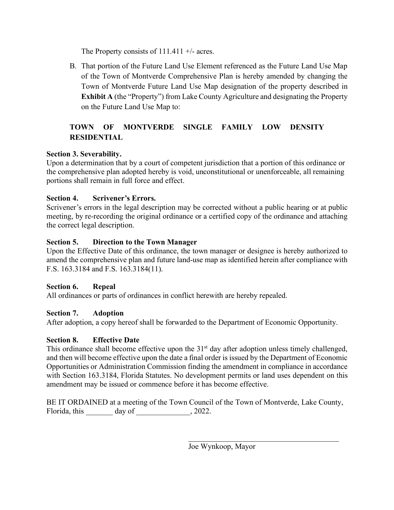The Property consists of  $111.411 +/-$  acres.

B. That portion of the Future Land Use Element referenced as the Future Land Use Map of the Town of Montverde Comprehensive Plan is hereby amended by changing the Town of Montverde Future Land Use Map designation of the property described in **Exhibit A** (the "Property") from Lake County Agriculture and designating the Property on the Future Land Use Map to:

# **TOWN OF MONTVERDE SINGLE FAMILY LOW DENSITY RESIDENTIAL**

### **Section 3. Severability.**

Upon a determination that by a court of competent jurisdiction that a portion of this ordinance or the comprehensive plan adopted hereby is void, unconstitutional or unenforceable, all remaining portions shall remain in full force and effect.

### **Section 4. Scrivener's Errors.**

Scrivener's errors in the legal description may be corrected without a public hearing or at public meeting, by re-recording the original ordinance or a certified copy of the ordinance and attaching the correct legal description.

### **Section 5. Direction to the Town Manager**

Upon the Effective Date of this ordinance, the town manager or designee is hereby authorized to amend the comprehensive plan and future land-use map as identified herein after compliance with F.S. 163.3184 and F.S. 163.3184(11).

### **Section 6. Repeal**

All ordinances or parts of ordinances in conflict herewith are hereby repealed.

### **Section 7. Adoption**

After adoption, a copy hereof shall be forwarded to the Department of Economic Opportunity.

## **Section 8. Effective Date**

This ordinance shall become effective upon the 31<sup>st</sup> day after adoption unless timely challenged, and then will become effective upon the date a final order is issued by the Department of Economic Opportunities or Administration Commission finding the amendment in compliance in accordance with Section 163.3184, Florida Statutes. No development permits or land uses dependent on this amendment may be issued or commence before it has become effective.

BE IT ORDAINED at a meeting of the Town Council of the Town of Montverde, Lake County, Florida, this day of  $\qquad \qquad$ , 2022.

 $\mathcal{L}_\text{max}$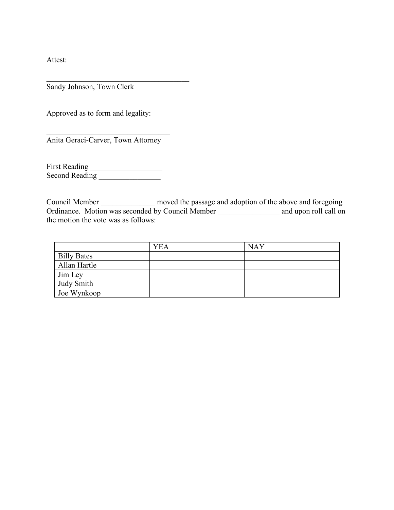Attest:

Sandy Johnson, Town Clerk

Approved as to form and legality:

 $\mathcal{L}=\{1,2,3,4,5\}$ Anita Geraci-Carver, Town Attorney

 $\mathcal{L}_\text{max}$  , and the set of the set of the set of the set of the set of the set of the set of the set of the set of the set of the set of the set of the set of the set of the set of the set of the set of the set of the

First Reading Second Reading \_\_\_\_\_\_\_\_\_\_\_\_\_\_\_\_

Council Member \_\_\_\_\_\_\_\_\_\_\_\_\_\_ moved the passage and adoption of the above and foregoing Ordinance. Motion was seconded by Council Member and upon roll call on the motion the vote was as follows:

|                    | <b>YEA</b> | <b>NAY</b> |
|--------------------|------------|------------|
| <b>Billy Bates</b> |            |            |
| Allan Hartle       |            |            |
| Jim Ley            |            |            |
| <b>Judy Smith</b>  |            |            |
| Joe Wynkoop        |            |            |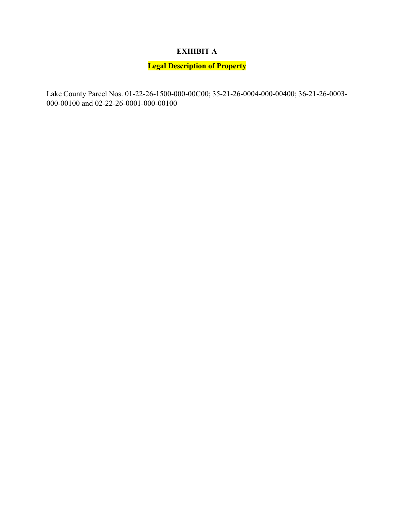# **EXHIBIT A**

# **Legal Description of Property**

Lake County Parcel Nos. 01-22-26-1500-000-00C00; 35-21-26-0004-000-00400; 36-21-26-0003- 000-00100 and 02-22-26-0001-000-00100